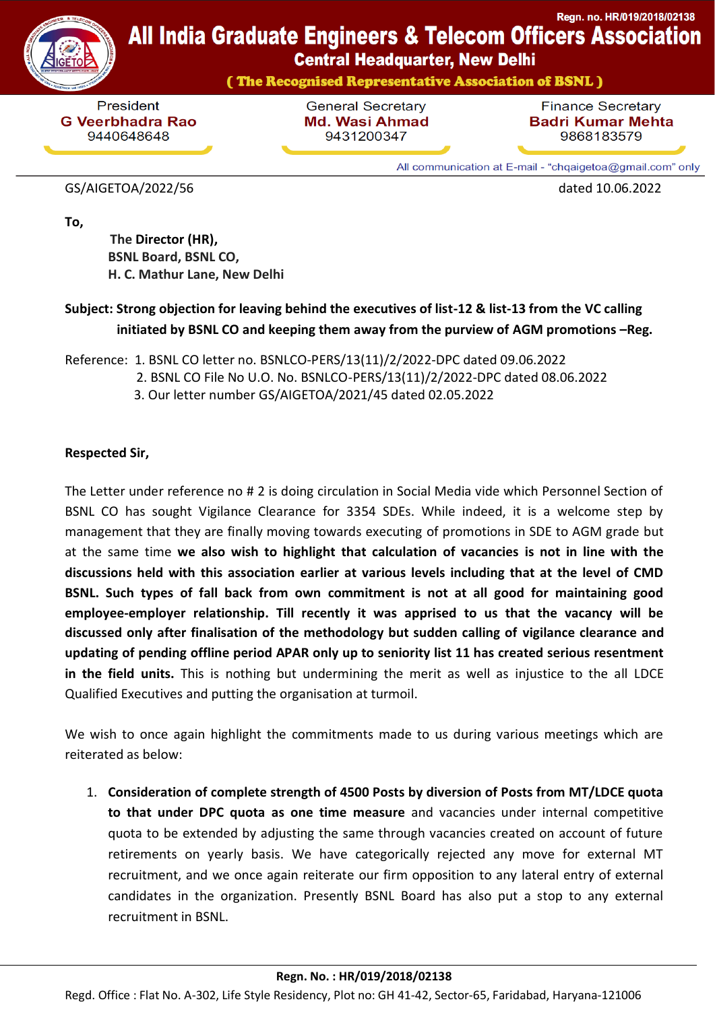

## Regn. no. HR/019/2018/02138 **All India Graduate Engineers & Telecom Officers Association**

**Central Headquarter, New Delhi** 

(The Recognised Representative Association of BSNL)

President **G Veerbhadra Rao** 9440648648

**General Secretary Md. Wasi Ahmad** 9431200347

**Finance Secretary Badri Kumar Mehta** 9868183579

All communication at E-mail - "chqaigetoa@gmail.com" only

## GS/AIGETOA/2022/56 dated 10.06.2022

**To,**

 **[The](https://www.bsnl.co.in/opencms/bsnl/BSNL/about_us/company/arvind_vdr.html) Director (HR), BSNL Board, BSNL CO, H. C. Mathur Lane, New Delhi**

## **Subject: Strong objection for leaving behind the executives of list-12 & list-13 from the VC calling initiated by BSNL CO and keeping them away from the purview of AGM promotions –Reg.**

Reference: 1. BSNL CO letter no. BSNLCO-PERS/13(11)/2/2022-DPC dated 09.06.2022 2. BSNL CO File No U.O. No. BSNLCO-PERS/13(11)/2/2022-DPC dated 08.06.2022 3. Our letter number GS/AIGETOA/2021/45 dated 02.05.2022

## **Respected Sir,**

The Letter under reference no # 2 is doing circulation in Social Media vide which Personnel Section of BSNL CO has sought Vigilance Clearance for 3354 SDEs. While indeed, it is a welcome step by management that they are finally moving towards executing of promotions in SDE to AGM grade but at the same time **we also wish to highlight that calculation of vacancies is not in line with the discussions held with this association earlier at various levels including that at the level of CMD BSNL. Such types of fall back from own commitment is not at all good for maintaining good employee-employer relationship. Till recently it was apprised to us that the vacancy will be discussed only after finalisation of the methodology but sudden calling of vigilance clearance and updating of pending offline period APAR only up to seniority list 11 has created serious resentment in the field units.** This is nothing but undermining the merit as well as injustice to the all LDCE Qualified Executives and putting the organisation at turmoil.

We wish to once again highlight the commitments made to us during various meetings which are reiterated as below:

1. **Consideration of complete strength of 4500 Posts by diversion of Posts from MT/LDCE quota to that under DPC quota as one time measure** and vacancies under internal competitive quota to be extended by adjusting the same through vacancies created on account of future retirements on yearly basis. We have categorically rejected any move for external MT recruitment, and we once again reiterate our firm opposition to any lateral entry of external candidates in the organization. Presently BSNL Board has also put a stop to any external recruitment in BSNL.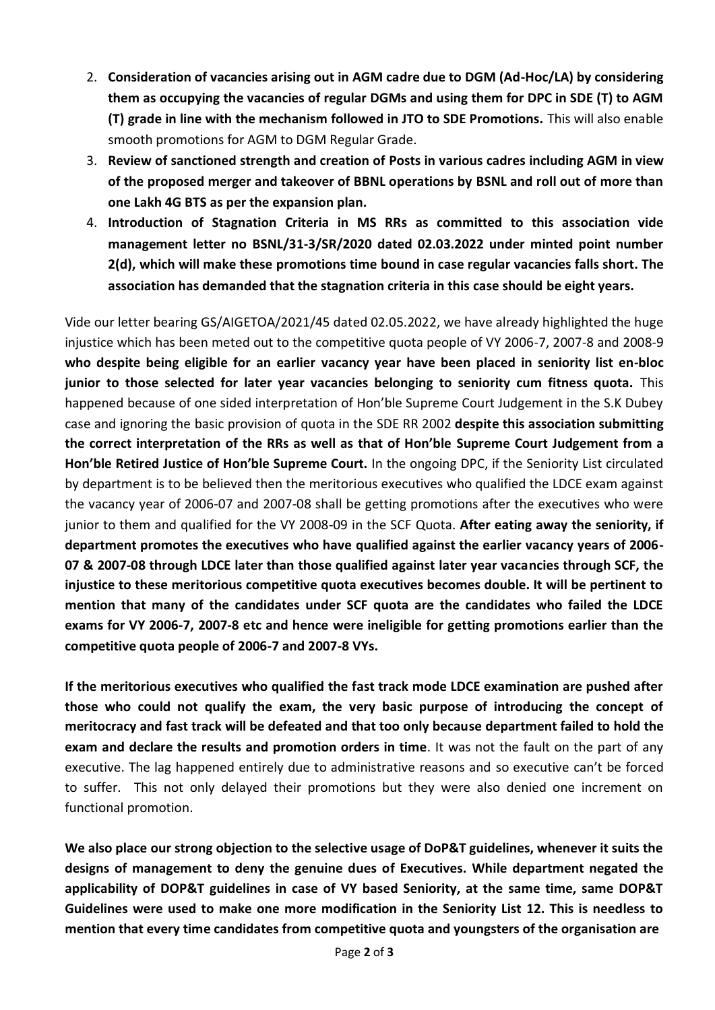- 2. **Consideration of vacancies arising out in AGM cadre due to DGM (Ad-Hoc/LA) by considering them as occupying the vacancies of regular DGMs and using them for DPC in SDE (T) to AGM (T) grade in line with the mechanism followed in JTO to SDE Promotions.** This will also enable smooth promotions for AGM to DGM Regular Grade.
- 3. **Review of sanctioned strength and creation of Posts in various cadres including AGM in view of the proposed merger and takeover of BBNL operations by BSNL and roll out of more than one Lakh 4G BTS as per the expansion plan.**
- 4. **Introduction of Stagnation Criteria in MS RRs as committed to this association vide management letter no BSNL/31-3/SR/2020 dated 02.03.2022 under minted point number 2(d), which will make these promotions time bound in case regular vacancies falls short. The association has demanded that the stagnation criteria in this case should be eight years.**

Vide our letter bearing GS/AIGETOA/2021/45 dated 02.05.2022, we have already highlighted the huge injustice which has been meted out to the competitive quota people of VY 2006-7, 2007-8 and 2008-9 **who despite being eligible for an earlier vacancy year have been placed in seniority list en-bloc junior to those selected for later year vacancies belonging to seniority cum fitness quota.** This happened because of one sided interpretation of Hon'ble Supreme Court Judgement in the S.K Dubey case and ignoring the basic provision of quota in the SDE RR 2002 **despite this association submitting the correct interpretation of the RRs as well as that of Hon'ble Supreme Court Judgement from a Hon'ble Retired Justice of Hon'ble Supreme Court.** In the ongoing DPC, if the Seniority List circulated by department is to be believed then the meritorious executives who qualified the LDCE exam against the vacancy year of 2006-07 and 2007-08 shall be getting promotions after the executives who were junior to them and qualified for the VY 2008-09 in the SCF Quota. **After eating away the seniority, if department promotes the executives who have qualified against the earlier vacancy years of 2006- 07 & 2007-08 through LDCE later than those qualified against later year vacancies through SCF, the injustice to these meritorious competitive quota executives becomes double. It will be pertinent to mention that many of the candidates under SCF quota are the candidates who failed the LDCE exams for VY 2006-7, 2007-8 etc and hence were ineligible for getting promotions earlier than the competitive quota people of 2006-7 and 2007-8 VYs.** 

**If the meritorious executives who qualified the fast track mode LDCE examination are pushed after those who could not qualify the exam, the very basic purpose of introducing the concept of meritocracy and fast track will be defeated and that too only because department failed to hold the exam and declare the results and promotion orders in time**. It was not the fault on the part of any executive. The lag happened entirely due to administrative reasons and so executive can't be forced to suffer. This not only delayed their promotions but they were also denied one increment on functional promotion.

**We also place our strong objection to the selective usage of DoP&T guidelines, whenever it suits the designs of management to deny the genuine dues of Executives. While department negated the applicability of DOP&T guidelines in case of VY based Seniority, at the same time, same DOP&T Guidelines were used to make one more modification in the Seniority List 12. This is needless to mention that every time candidates from competitive quota and youngsters of the organisation are**